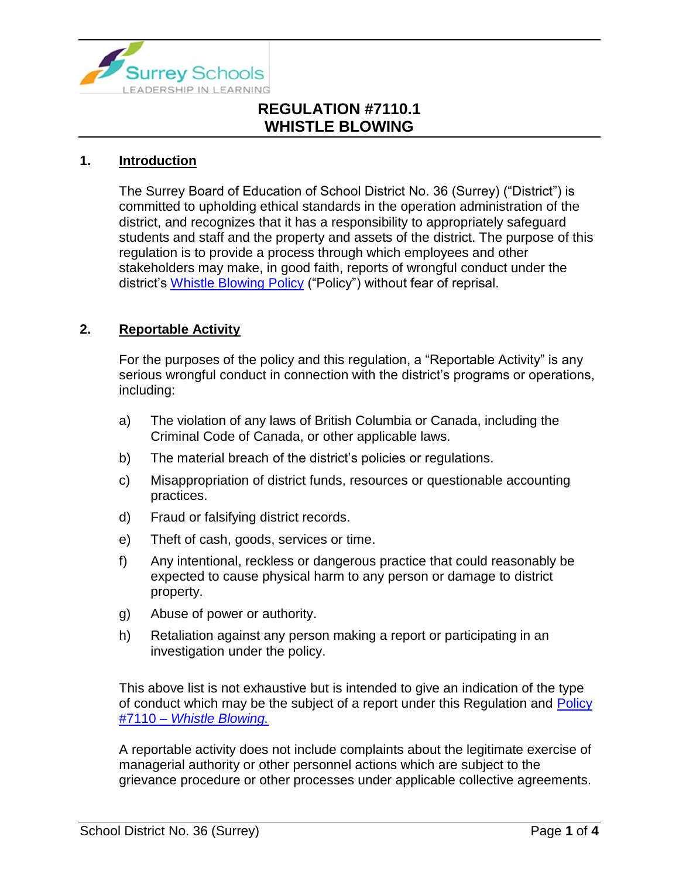

#### **1. Introduction**

The Surrey Board of Education of School District No. 36 (Surrey) ("District") is committed to upholding ethical standards in the operation administration of the district, and recognizes that it has a responsibility to appropriately safeguard students and staff and the property and assets of the district. The purpose of this regulation is to provide a process through which employees and other stakeholders may make, in good faith, reports of wrongful conduct under the district's [Whistle Blowing Policy](https://www.surreyschools.ca/departments/SECT/PoliciesRegulations/section_7000/Documents/7110%20Policy.pdf) ("Policy") without fear of reprisal.

## **2. Reportable Activity**

For the purposes of the policy and this regulation, a "Reportable Activity" is any serious wrongful conduct in connection with the district's programs or operations, including:

- a) The violation of any laws of British Columbia or Canada, including the Criminal Code of Canada, or other applicable laws.
- b) The material breach of the district's policies or regulations.
- c) Misappropriation of district funds, resources or questionable accounting practices.
- d) Fraud or falsifying district records.
- e) Theft of cash, goods, services or time.
- f) Any intentional, reckless or dangerous practice that could reasonably be expected to cause physical harm to any person or damage to district property.
- g) Abuse of power or authority.
- h) Retaliation against any person making a report or participating in an investigation under the policy.

This above list is not exhaustive but is intended to give an indication of the type of conduct which may be the subject of a report under this Regulation and Policy #7110 – *[Whistle Blowing.](https://www.surreyschools.ca/departments/SECT/PoliciesRegulations/section_7000/Documents/7110%20Policy.pdf)*

A reportable activity does not include complaints about the legitimate exercise of managerial authority or other personnel actions which are subject to the grievance procedure or other processes under applicable collective agreements.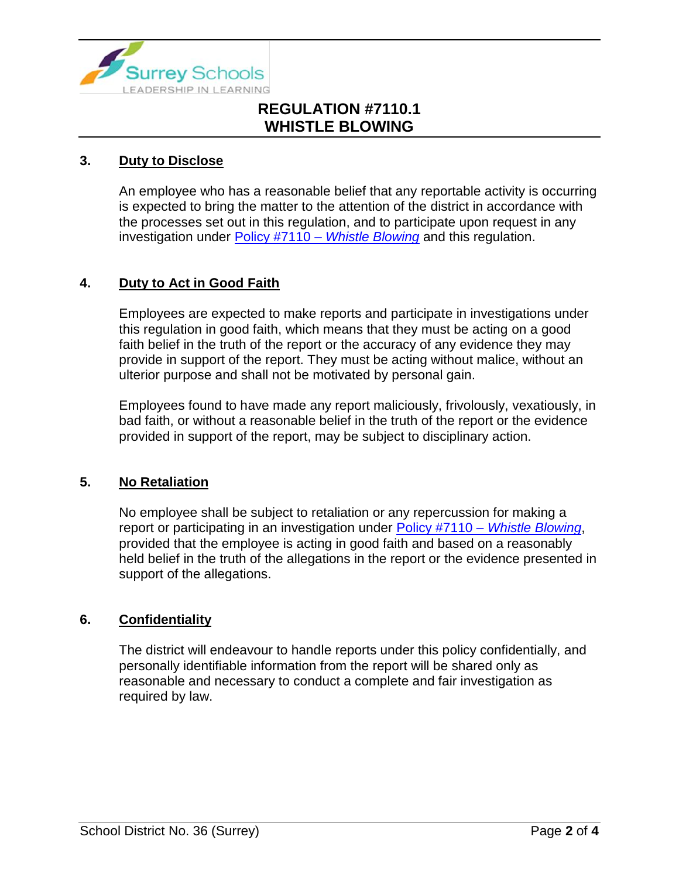

## **3. Duty to Disclose**

An employee who has a reasonable belief that any reportable activity is occurring is expected to bring the matter to the attention of the district in accordance with the processes set out in this regulation, and to participate upon request in any investigation under Policy #7110 – *[Whistle Blowing](https://www.surreyschools.ca/departments/SECT/PoliciesRegulations/section_7000/Documents/7110%20Policy.pdf)* and this regulation.

## **4. Duty to Act in Good Faith**

Employees are expected to make reports and participate in investigations under this regulation in good faith, which means that they must be acting on a good faith belief in the truth of the report or the accuracy of any evidence they may provide in support of the report. They must be acting without malice, without an ulterior purpose and shall not be motivated by personal gain.

Employees found to have made any report maliciously, frivolously, vexatiously, in bad faith, or without a reasonable belief in the truth of the report or the evidence provided in support of the report, may be subject to disciplinary action.

#### **5. No Retaliation**

No employee shall be subject to retaliation or any repercussion for making a report or participating in an investigation under Policy #7110 – *[Whistle Blowing](https://www.surreyschools.ca/departments/SECT/PoliciesRegulations/section_7000/Documents/7110%20Policy.pdf)*, provided that the employee is acting in good faith and based on a reasonably held belief in the truth of the allegations in the report or the evidence presented in support of the allegations.

#### **6. Confidentiality**

The district will endeavour to handle reports under this policy confidentially, and personally identifiable information from the report will be shared only as reasonable and necessary to conduct a complete and fair investigation as required by law.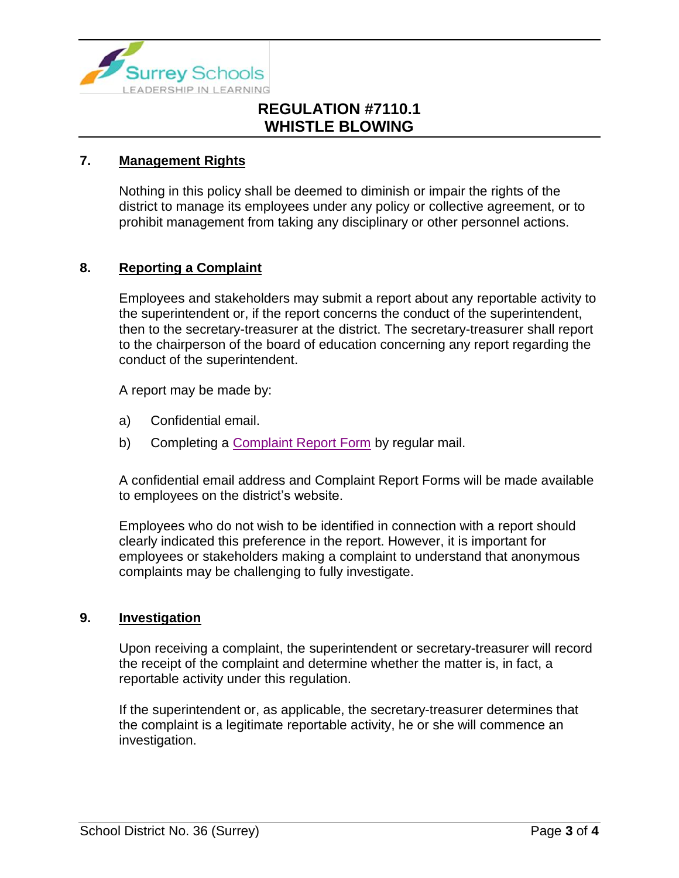

#### **7. Management Rights**

Nothing in this policy shall be deemed to diminish or impair the rights of the district to manage its employees under any policy or collective agreement, or to prohibit management from taking any disciplinary or other personnel actions.

## **8. Reporting a Complaint**

Employees and stakeholders may submit a report about any reportable activity to the superintendent or, if the report concerns the conduct of the superintendent, then to the secretary-treasurer at the district. The secretary-treasurer shall report to the chairperson of the board of education concerning any report regarding the conduct of the superintendent.

A report may be made by:

- a) Confidential email.
- b) Completing a [Complaint Report Form](https://www.surreyschools.ca/forms/Documents/Whistleblower%20Complaint%20Report%20Form.pdf) by regular mail.

A confidential email address and Complaint Report Forms will be made available to employees on the district's website.

Employees who do not wish to be identified in connection with a report should clearly indicated this preference in the report. However, it is important for employees or stakeholders making a complaint to understand that anonymous complaints may be challenging to fully investigate.

#### **9. Investigation**

Upon receiving a complaint, the superintendent or secretary-treasurer will record the receipt of the complaint and determine whether the matter is, in fact, a reportable activity under this regulation.

If the superintendent or, as applicable, the secretary-treasurer determines that the complaint is a legitimate reportable activity, he or she will commence an investigation.